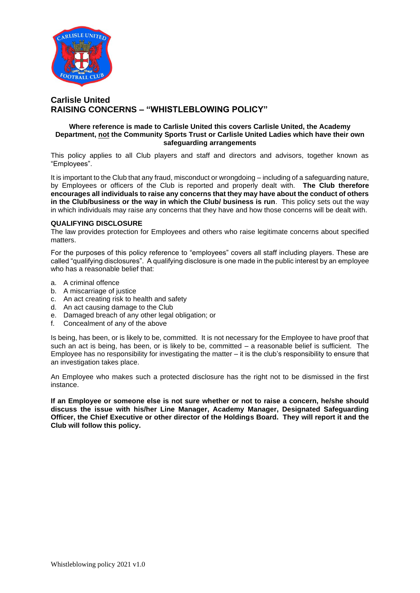

# **Carlisle United RAISING CONCERNS – "WHISTLEBLOWING POLICY"**

## **Where reference is made to Carlisle United this covers Carlisle United, the Academy Department, not the Community Sports Trust or Carlisle United Ladies which have their own safeguarding arrangements**

This policy applies to all Club players and staff and directors and advisors, together known as "Employees".

It is important to the Club that any fraud, misconduct or wrongdoing – including of a safeguarding nature, by Employees or officers of the Club is reported and properly dealt with. **The Club therefore encourages all individuals to raise any concerns that they may have about the conduct of others in the Club/business or the way in which the Club/ business is run**. This policy sets out the way in which individuals may raise any concerns that they have and how those concerns will be dealt with.

### **QUALIFYING DISCLOSURE**

The law provides protection for Employees and others who raise legitimate concerns about specified matters.

For the purposes of this policy reference to "employees" covers all staff including players. These are called "qualifying disclosures". A qualifying disclosure is one made in the public interest by an employee who has a reasonable belief that:

- a. A criminal offence
- b. A miscarriage of justice
- c. An act creating risk to health and safety
- d. An act causing damage to the Club
- e. Damaged breach of any other legal obligation; or
- f. Concealment of any of the above

Is being, has been, or is likely to be, committed. It is not necessary for the Employee to have proof that such an act is being, has been, or is likely to be, committed – a reasonable belief is sufficient. The Employee has no responsibility for investigating the matter – it is the club's responsibility to ensure that an investigation takes place.

An Employee who makes such a protected disclosure has the right not to be dismissed in the first instance.

**If an Employee or someone else is not sure whether or not to raise a concern, he/she should discuss the issue with his/her Line Manager, Academy Manager, Designated Safeguarding Officer, the Chief Executive or other director of the Holdings Board. They will report it and the Club will follow this policy.**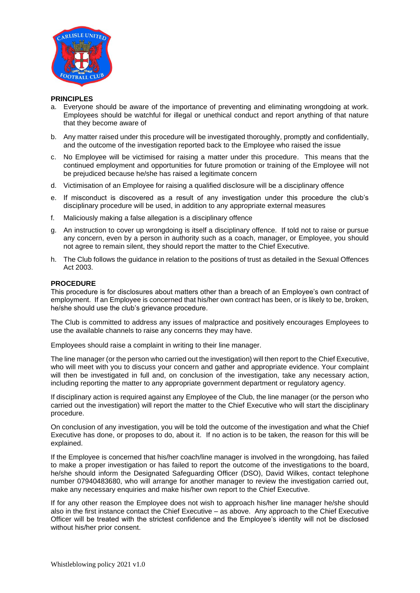

### **PRINCIPLES**

- a. Everyone should be aware of the importance of preventing and eliminating wrongdoing at work. Employees should be watchful for illegal or unethical conduct and report anything of that nature that they become aware of
- b. Any matter raised under this procedure will be investigated thoroughly, promptly and confidentially, and the outcome of the investigation reported back to the Employee who raised the issue
- c. No Employee will be victimised for raising a matter under this procedure. This means that the continued employment and opportunities for future promotion or training of the Employee will not be prejudiced because he/she has raised a legitimate concern
- d. Victimisation of an Employee for raising a qualified disclosure will be a disciplinary offence
- e. If misconduct is discovered as a result of any investigation under this procedure the club's disciplinary procedure will be used, in addition to any appropriate external measures
- f. Maliciously making a false allegation is a disciplinary offence
- g. An instruction to cover up wrongdoing is itself a disciplinary offence. If told not to raise or pursue any concern, even by a person in authority such as a coach, manager, or Employee, you should not agree to remain silent, they should report the matter to the Chief Executive.
- h. The Club follows the guidance in relation to the positions of trust as detailed in the Sexual Offences Act 2003.

## **PROCEDURE**

This procedure is for disclosures about matters other than a breach of an Employee's own contract of employment. If an Employee is concerned that his/her own contract has been, or is likely to be, broken, he/she should use the club's grievance procedure.

The Club is committed to address any issues of malpractice and positively encourages Employees to use the available channels to raise any concerns they may have.

Employees should raise a complaint in writing to their line manager.

The line manager (or the person who carried out the investigation) will then report to the Chief Executive, who will meet with you to discuss your concern and gather and appropriate evidence. Your complaint will then be investigated in full and, on conclusion of the investigation, take any necessary action, including reporting the matter to any appropriate government department or regulatory agency.

If disciplinary action is required against any Employee of the Club, the line manager (or the person who carried out the investigation) will report the matter to the Chief Executive who will start the disciplinary procedure.

On conclusion of any investigation, you will be told the outcome of the investigation and what the Chief Executive has done, or proposes to do, about it. If no action is to be taken, the reason for this will be explained.

If the Employee is concerned that his/her coach/line manager is involved in the wrongdoing, has failed to make a proper investigation or has failed to report the outcome of the investigations to the board, he/she should inform the Designated Safeguarding Officer (DSO), David Wilkes, contact telephone number 07940483680, who will arrange for another manager to review the investigation carried out, make any necessary enquiries and make his/her own report to the Chief Executive.

If for any other reason the Employee does not wish to approach his/her line manager he/she should also in the first instance contact the Chief Executive – as above. Any approach to the Chief Executive Officer will be treated with the strictest confidence and the Employee's identity will not be disclosed without his/her prior consent.